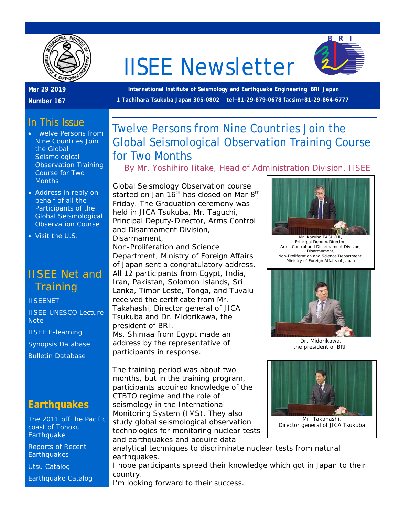

# IISEE Newsletter



#### **Mar 29 2019**

**Number 167**

**International Institute of Seismology and Earthquake Engineering BRI Japan 1 Tachihara Tsukuba Japan 305-0802 tel+81-29-879-0678 facsim+81-29-864-6777**

# In This Issue

- Twelve Persons from Nine Countries Join the Global **Seismological** Observation Training Course for Two **Months**
- Address in reply on behalf of all the Participants of the Global Seismological Observation Course
- Visit the U.S.

# IISEE Net and **Training**

#### **[IISEENET](http://iisee.kenken.go.jp/net/)**

[IISEE-UNESCO Lecture](http://iisee/lna/)  **[Note](http://iisee/lna/)** [IISEE E-learning](http://iisee/el/) [Synopsis Database](http://iisee/syndb/) [Bulletin Database](http://iisee/bltndb/)

#### **Earthquakes**

[The 2011 off the Pacific](http://iisee/special2/20110311tohoku.htm)  [coast of Tohoku](http://iisee/special2/20110311tohoku.htm)  **[Earthquake](http://iisee/special2/20110311tohoku.htm)** 

[Reports of Recent](http://iisee/quakes.htm)  **[Earthquakes](http://iisee/quakes.htm)** 

[Utsu Catalog](http://iisee/utsu/index_eng.html)

[Earthquake Catalog](http://iisee/eqcat/Top_page_en.htm)

# Twelve Persons from Nine Countries Join the Global Seismological Observation Training Course for Two Months

*By Mr. Yoshihiro Iitake, Head of Administration Division, IISEE*

Global Seismology Observation course started on Jan  $16<sup>th</sup>$  has closed on Mar  $8<sup>th</sup>$ Friday. The Graduation ceremony was held in JICA Tsukuba, Mr. Taguchi, Principal Deputy-Director, Arms Control and Disarmament Division, Disarmament, Non-Proliferation and Science

Department, Ministry of Foreign Affairs of Japan sent a congratulatory address. All 12 participants from Egypt, India, Iran, Pakistan, Solomon Islands, Sri Lanka, Timor Leste, Tonga, and Tuvalu received the certificate from Mr. Takahashi, Director general of JICA Tsukuba and Dr. Midorikawa, the

president of BRI. Ms. Shimaa from Egypt made an address by the representative of participants in response.

The training period was about two months, but in the training program, participants acquired knowledge of the CTBTO regime and the role of seismology in the International Monitoring System (IMS). They also study global seismological observation technologies for monitoring nuclear tests and earthquakes and acquire data





analytical techniques to discriminate nuclear tests from natural earthquakes.

I hope participants spread their knowledge which got in Japan to their country.

I'm looking forward to their success.



Mr. Kazuho TAGUCHI, Principal Deputy-Director, Arms Control and Disarmament Division, Disarmament, Non-Proliferation and Science Department, Ministry of Foreign Affairs of Japan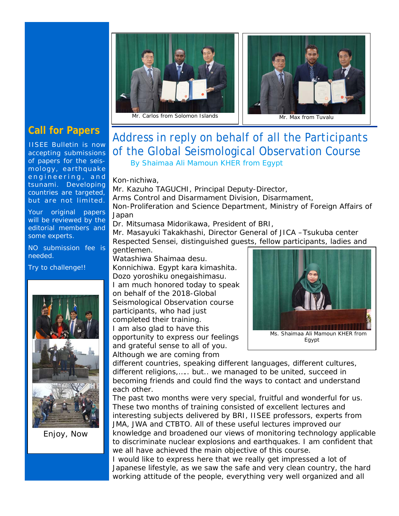



### **Call for Papers**

IISEE Bulletin is now accepting submissions of papers for the seismology, earthquake engineering, and tsunami. Developing countries are targeted, but are not limited.

Your original papers will be reviewed by the editorial members and some experts.

NO submission fee is needed.

Try to challenge!!



Enjoy, Now

# Address in reply on behalf of all the Participants of the Global Seismological Observation Course

By Shaimaa Ali Mamoun KHER from Egypt

Kon-nichiwa,

Mr. Kazuho TAGUCHI, Principal Deputy-Director, Arms Control and Disarmament Division, Disarmament, Non-Proliferation and Science Department, Ministry of Foreign Affairs of Japan

Dr. Mitsumasa Midorikawa, President of BRI,

Mr. Masayuki Takakhashi, Director General of JICA –Tsukuba center Respected Sensei, distinguished guests, fellow participants, ladies and

gentlemen.

Watashiwa Shaimaa desu. Konnichiwa. Egypt kara kimashita. Dozo yoroshiku onegaishimasu. I am much honored today to speak on behalf of the 2018-Global Seismological Observation course participants, who had just completed their training. I am also glad to have this opportunity to express our feelings and grateful sense to all of you. Although we are coming from



different countries, speaking different languages, different cultures, different religions,….. but.. we managed to be united, succeed in becoming friends and could find the ways to contact and understand each other.

The past two months were very special, fruitful and wonderful for us. These two months of training consisted of excellent lectures and interesting subjects delivered by BRI, IISEE professors, experts from JMA, JWA and CTBTO. All of these useful lectures improved our knowledge and broadened our views of monitoring technology applicable to discriminate nuclear explosions and earthquakes. I am confident that we all have achieved the main objective of this course.

I would like to express here that we really get impressed a lot of Japanese lifestyle, as we saw the safe and very clean country, the hard working attitude of the people, everything very well organized and all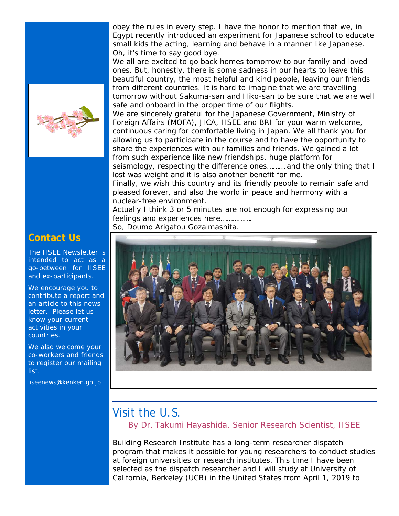

#### **Contact Us**

The IISEE Newsletter is intended to act as a go-between for IISEE and ex-participants.

We encourage you to contribute a report and an article to this newsletter. Please let us know your current activities in your countries.

We also welcome your co-workers and friends to register our mailing list.

iiseenews@kenken.go.jp

obey the rules in every step. I have the honor to mention that we, in Egypt recently introduced an experiment for Japanese school to educate small kids the acting, learning and behave in a manner like Japanese. Oh, it's time to say good bye.

We all are excited to go back homes tomorrow to our family and loved ones. But, honestly, there is some sadness in our hearts to leave this beautiful country, the most helpful and kind people, leaving our friends from different countries. It is hard to imagine that we are travelling tomorrow without Sakuma-san and Hiko-san to be sure that we are well safe and onboard in the proper time of our flights.

We are sincerely grateful for the Japanese Government, Ministry of Foreign Affairs (MOFA), JICA, IISEE and BRI for your warm welcome, continuous caring for comfortable living in Japan. We all thank you for allowing us to participate in the course and to have the opportunity to share the experiences with our families and friends. We gained a lot from such experience like new friendships, huge platform for seismology, respecting the difference ones……… and the only thing that I lost was weight and it is also another benefit for me.

Finally, we wish this country and its friendly people to remain safe and pleased forever, and also the world in peace and harmony with a nuclear-free environment.

Actually I think 3 or 5 minutes are not enough for expressing our feelings and experiences here...............

So, Doumo Arigatou Gozaimashita.



## Visit the U.S.

*By Dr. Takumi Hayashida, Senior Research Scientist, IISEE*

Building Research Institute has a long-term researcher dispatch program that makes it possible for young researchers to conduct studies at foreign universities or research institutes. This time I have been selected as the dispatch researcher and I will study at University of California, Berkeley (UCB) in the United States from April 1, 2019 to